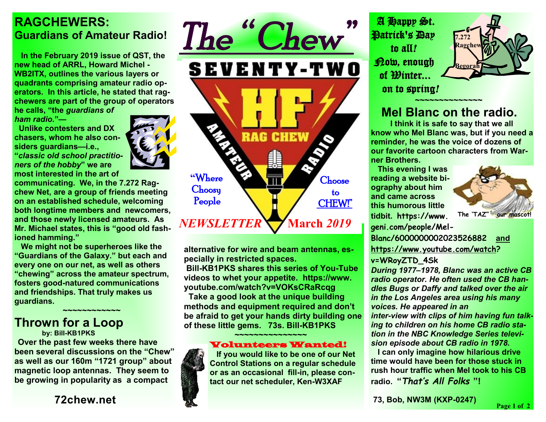## **RAGCHEWERS: Guardians of Amateur Radio!**

 **In the February 2019 issue of QST, the new head of ARRL, Howard Michel - WB2ITX, outlines the various layers or quadrants comprising amateur radio operators. In this article, he stated that ragchewers are part of the group of operators** 

**he calls, "the** *guardians of ham radio.***"—** 

 **Unlike contesters and DX chasers, whom he also considers guardians—i.e., "***classic old school practitioners of the hobby***" we are most interested in the art of** 

**communicating. We, in the 7.272 Ragchew Net, are a group of friends meeting on an established schedule, welcoming both longtime members and newcomers, and those newly licensed amateurs. As Mr. Michael states, this is "good old fashioned hamming."** 

 **We might not be superheroes like the "Guardians of the Galaxy." but each and every one on our net, as well as others "chewing" across the amateur spectrum, fosters good-natured communications and friendships. That truly makes us guardians.** 

## ★<del>~</del>~~~~~~~~~~~~~~~ **Thrown for a Loop**

 **by: Bill-KB1PKS**

**Over the past few weeks there have been several discussions on the "Chew" as well as our 160m "1721 group" about magnetic loop antennas. They seem to be growing in popularity as a compact** 

**72chew.net**



**alternative for wire and beam antennas, especially in restricted spaces.** 

**Bill-KB1PKS shares this series of You-Tube videos to whet your appetite. https://www. youtube.com/watch?v=VOKsCRaRcqg** 

 **Take a good look at the unique building methods and equipment required and don't be afraid to get your hands dirty building one of these little gems. 73s. Bill-KB1PKS** 

★<del>─</del>──<del>~</del><del>~~~</del>~~~~~~~~~~~~~

## Volunteers Wanted!

 **If you would like to be one of our Net Control Stations on a regular schedule or as an occasional fill-in, please contact our net scheduler, Ken-W3XAF**

 A Happy St. Patrick's Day to all*!* Now, enough of Winter... on to spring*!* 



**7.272 Ragchew** 

**Begorah** 

 *~~~~~~~~~~~~~~*

 **I think it is safe to say that we all know who Mel Blanc was, but if you need a reminder, he was the voice of dozens of our favorite cartoon characters from Warner Brothers.** 

 **This evening I was reading a website biography about him and came across this humorous little tidbit. https://www.**



**geni.com/people/Mel-Blanc/6000000002023526882 and**

**[https://www.youtube.com/watch?](https://www.youtube.com/watch) v=WRoyZTD\_4Sk** 

*During 1977–1978, Blanc was an active CB radio operator. He often used the CB handles Bugs or Daffy and talked over the air in the Los Angeles area using his many voices. He appeared in an inter-view with clips of him having fun talking to children on his home CB radio station in the NBC Knowledge Series televi-*

*sion episode about CB radio in 1978.*   **I can only imagine how hilarious drive time would have been for those stuck in rush hour traffic when Mel took to his CB radio. "***That's All Folks* **"!** 

**73, Bob, NW3M (KXP-0247)**

**Page 1 of 2**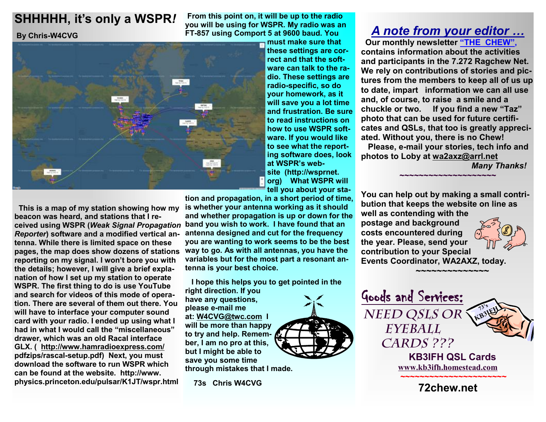## **SHHHHH, it's only a WSPR***!*

 **By Chris-W4CVG** 



 **This is a map of my station showing how my beacon was heard, and stations that I received using WSPR (***Weak Signal Propagation Reporter***) software and a modified vertical antenna. While there is limited space on these reporting on my signal. I won't bore you with the details; however, I will give a brief explanation of how I set up my station to operate WSPR. The first thing to do is use YouTube and search for videos of this mode of operation. There are several of them out there. You will have to interface your computer sound card with your radio. I ended up using what I had in what I would call the "miscellaneous" drawer, which was an old Racal interface GLX. ( <http://www.hamradioexpress.com/> pdfzips/rascal-setup.pdf) Next, you must download the software to run WSPR which can be found at the website. http://www. physics.princeton.edu/pulsar/K1JT/wspr.html** 

**From this point on, it will be up to the radio you will be using for WSPR. My radio was an FT-857 using Comport 5 at 9600 baud. You** 

**must make sure that these settings are correct and that the software can talk to the radio. These settings are radio-specific, so do your homework, as it will save you a lot time and frustration. Be sure to read instructions on how to use WSPR software. If you would like to see what the reporting software does, look at WSPR's website (http://wsprnet. org) What WSPR will tell you about your sta-**

**tion and propagation, in a short period of time, is whether your antenna working as it should and whether propagation is up or down for the band you wish to work. I have found that an antenna designed and cut for the frequency you are wanting to work seems to be the best way to go. As with all antennas, you have the pages, the map does show dozens of stations variables but for the most part a resonant antenna is your best choice.** 

> **I hope this helps you to get pointed in the right direction. If you have any questions, please e-mail me at: [W4CVG@twc.com](mailto:W4CVG@twc.com) I will be more than happy to try and help. Remember, I am no pro at this, but I might be able to save you some time through mistakes that I made.**

 **73s Chris W4CVG** 



 **Our monthly newsletter "THE CHEW", contains information about the activities and participants in the 7.272 Ragchew Net. We rely on contributions of stories and pictures from the members to keep all of us up to date, impart information we can all use and, of course, to raise a smile and a chuckle or two. If you find a new "Taz" photo that can be used for future certificates and QSLs, that too is greatly appreciated. Without you, there is no Chew! Please, e-mail your stories, tech info and** 

**photos to Loby at [wa2axz@arrl.net](mailto:wa2axz@arrl.net)** 

**~~~~~~~~~~~~~~~~~~~~**

*Many Thanks!* 

**You can help out by making a small contribution that keeps the website on line as well as contending with the postage and background costs encountered during the year. Please, send your contribution to your Special Events Coordinator, WA2AXZ, today.** 

> **KB3IFH QSL Cards [www.kb3ifh.homestead.com](http://www.kb3ifh.homestead.com) ~~~~~~~~~~~~~~~~~~~~~~ 72chew.net**

**73's KB3IFH** 

 **~~~~~~~~~~~~~~~** 

Goods and Services:

*Need QSLs or Eyeball* 

*Cards ???*